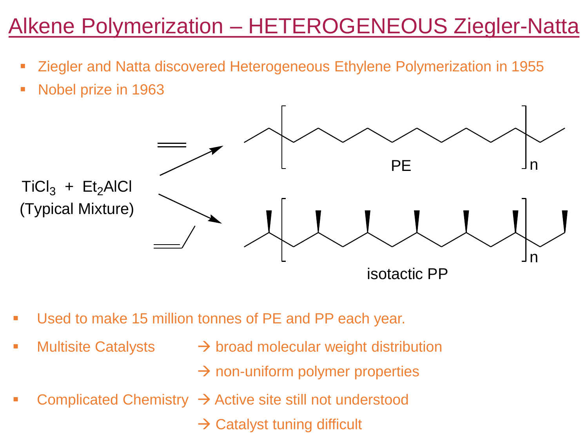# Alkene Polymerization – HETEROGENEOUS Ziegler-Natta

- Ziegler and Natta discovered Heterogeneous Ethylene Polymerization in 1955
- Nobel prize in 1963



- Used to make 15 million tonnes of PE and PP each year.
- 
- Multisite Catalysts  $\rightarrow$  broad molecular weight distribution
	- $\rightarrow$  non-uniform polymer properties
- Complicated Chemistry  $\rightarrow$  Active site still not understood

 $\rightarrow$  Catalyst tuning difficult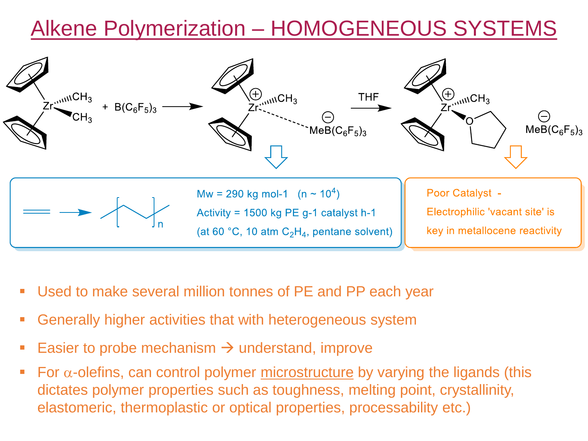## Alkene Polymerization – HOMOGENEOUS SYSTEMS



- Used to make several million tonnes of PE and PP each year
- Generally higher activities that with heterogeneous system
- Easier to probe mechanism  $\rightarrow$  understand, improve
- **•** For  $\alpha$ -olefins, can control polymer <u>microstructure</u> by varying the ligands (this dictates polymer properties such as toughness, melting point, crystallinity, elastomeric, thermoplastic or optical properties, processability etc.)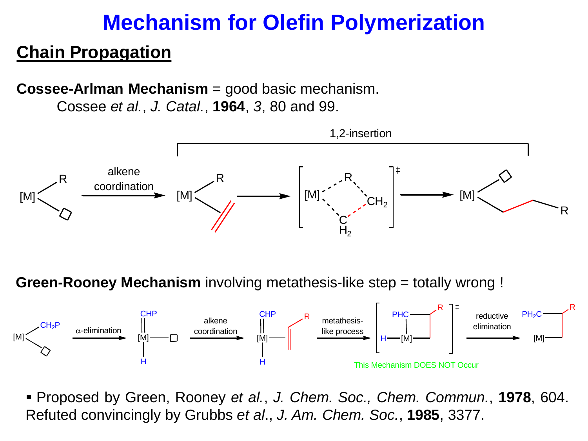#### **Chain Propagation**

**Cossee-Arlman Mechanism** = good basic mechanism.

Cossee *et al.*, *J. Catal.*, **1964**, *3*, 80 and 99.



**Green-Rooney Mechanism** involving metathesis-like step = totally wrong !



▪ Proposed by Green, Rooney *et al.*, *J. Chem. Soc., Chem. Commun.*, **1978**, 604. Refuted convincingly by Grubbs *et al*., *J. Am. Chem. Soc.*, **1985**, 3377.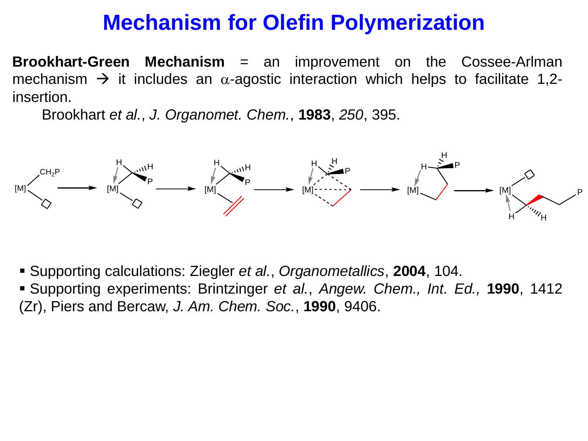**Brookhart-Green Mechanism** = an improvement on the Cossee-Arlman mechanism  $\rightarrow$  it includes an  $\alpha$ -agostic interaction which helps to facilitate 1,2insertion.

Brookhart *et al.*, *J. Organomet. Chem.*, **1983**, *250*, 395.



- Supporting calculations: Ziegler *et al.*, *Organometallics*, **2004**, 104.
- Supporting experiments: Brintzinger *et al.*, *Angew. Chem., Int. Ed.,* **1990**, 1412 (Zr), Piers and Bercaw, *J. Am. Chem. Soc.*, **1990**, 9406.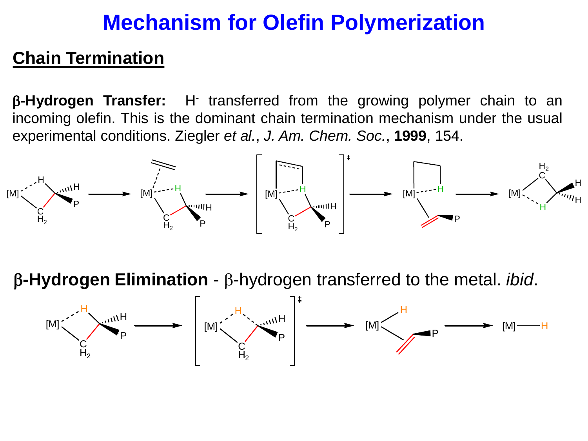#### **Chain Termination**

β-Hydrogen Transfer: H<sup>-</sup> transferred from the growing polymer chain to an incoming olefin. This is the dominant chain termination mechanism under the usual experimental conditions. Ziegler *et al.*, *J. Am. Chem. Soc.*, **1999**, 154.



b**-Hydrogen Elimination** - b-hydrogen transferred to the metal. *ibid*.

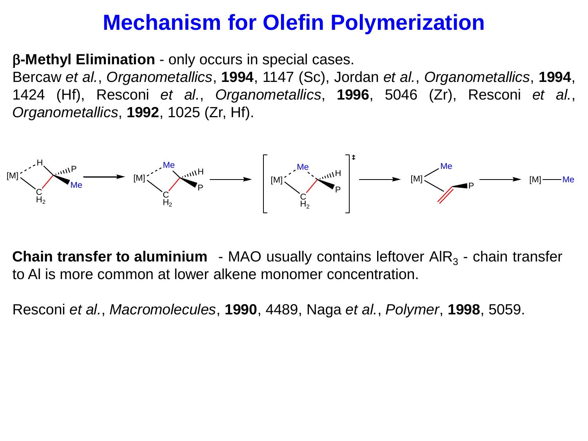b**-Methyl Elimination** - only occurs in special cases.

Bercaw *et al.*, *Organometallics*, **1994**, 1147 (Sc), Jordan *et al.*, *Organometallics*, **1994**, 1424 (Hf), Resconi *et al.*, *Organometallics*, **1996**, 5046 (Zr), Resconi *et al.*, *Organometallics*, **1992**, 1025 (Zr, Hf).



**Chain transfer to aluminium** - MAO usually contains leftover AIR<sub>3</sub> - chain transfer to Al is more common at lower alkene monomer concentration.

Resconi *et al.*, *Macromolecules*, **1990**, 4489, Naga *et al.*, *Polymer*, **1998**, 5059.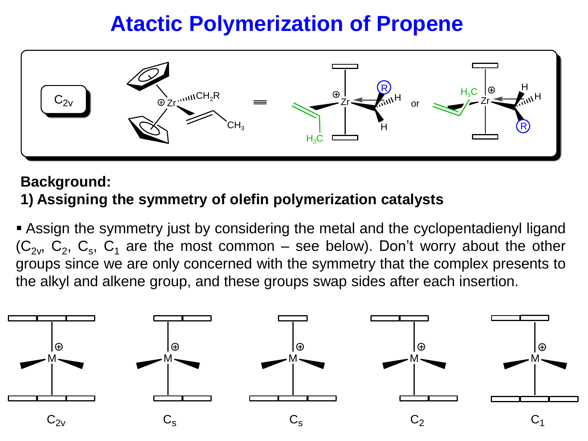

#### **Background:**

#### **1) Assigning the symmetry of olefin polymerization catalysts**

**Example 2** Assign the symmetry just by considering the metal and the cyclopentadienyl ligand  $(C_{2v}, C_2, C_s, C_1$  are the most common – see below). Don't worry about the other groups since we are only concerned with the symmetry that the complex presents to the alkyl and alkene group, and these groups swap sides after each insertion.

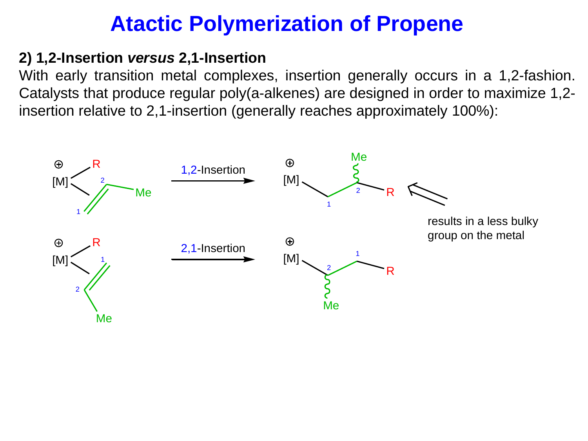#### **2) 1,2-Insertion** *versus* **2,1-Insertion**

With early transition metal complexes, insertion generally occurs in a 1,2-fashion. Catalysts that produce regular poly(a-alkenes) are designed in order to maximize 1,2 insertion relative to 2,1-insertion (generally reaches approximately 100%):

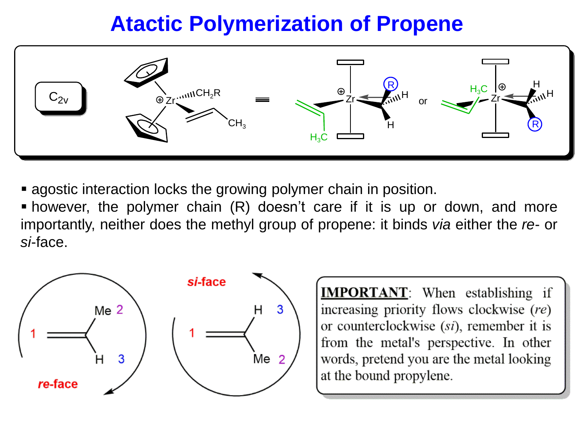

**E** agostic interaction locks the growing polymer chain in position.

**•** however, the polymer chain (R) doesn't care if it is up or down, and more importantly, neither does the methyl group of propene: it binds *via* either the *re*- or *si*-face.



**IMPORTANT:** When establishing if increasing priority flows clockwise (re) or counterclockwise *(si)*, remember it is from the metal's perspective. In other words, pretend you are the metal looking at the bound propylene.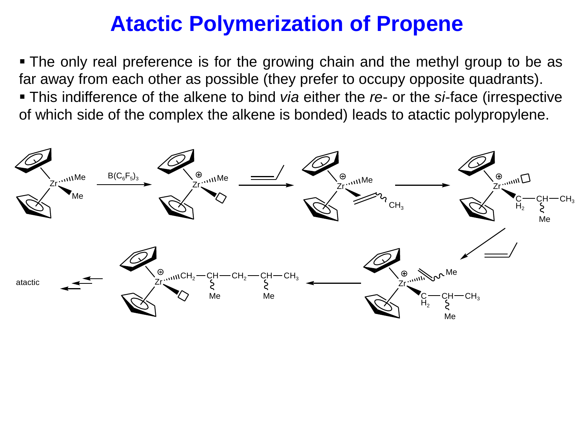▪ The only real preference is for the growing chain and the methyl group to be as far away from each other as possible (they prefer to occupy opposite quadrants). ▪ This indifference of the alkene to bind *via* either the *re*- or the *si*-face (irrespective of which side of the complex the alkene is bonded) leads to atactic polypropylene.

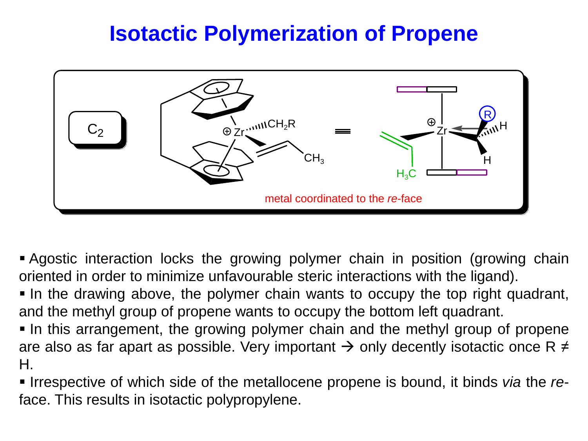

▪ Agostic interaction locks the growing polymer chain in position (growing chain oriented in order to minimize unfavourable steric interactions with the ligand).

▪ In the drawing above, the polymer chain wants to occupy the top right quadrant, and the methyl group of propene wants to occupy the bottom left quadrant.

▪ In this arrangement, the growing polymer chain and the methyl group of propene are also as far apart as possible. Very important  $\rightarrow$  only decently isotactic once R  $\neq$ H.

▪ Irrespective of which side of the metallocene propene is bound, it binds *via* the *re*face. This results in isotactic polypropylene.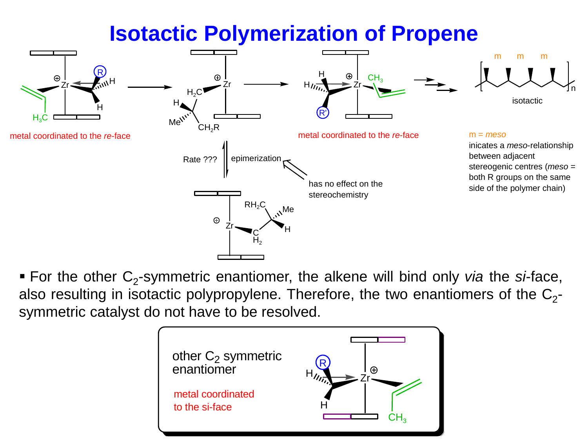

■ For the other C<sub>2</sub>-symmetric enantiomer, the alkene will bind only *via* the *si*-face, also resulting in isotactic polypropylene. Therefore, the two enantiomers of the  $\textsf{C}_2\textsf{-}$ symmetric catalyst do not have to be resolved.

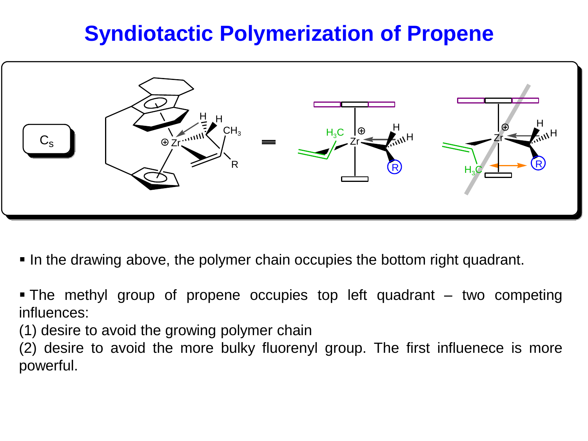

- In the drawing above, the polymer chain occupies the bottom right quadrant.
- $\blacksquare$  The methyl group of propene occupies top left quadrant  $\blacksquare$  two competing influences:
- (1) desire to avoid the growing polymer chain
- (2) desire to avoid the more bulky fluorenyl group. The first influenece is more powerful.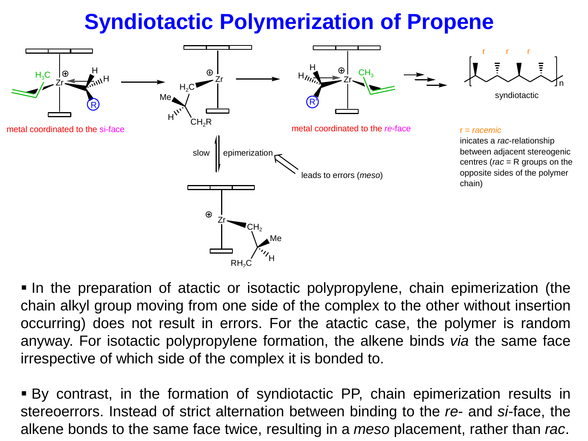

▪ In the preparation of atactic or isotactic polypropylene, chain epimerization (the chain alkyl group moving from one side of the complex to the other without insertion occurring) does not result in errors. For the atactic case, the polymer is random anyway. For isotactic polypropylene formation, the alkene binds *via* the same face irrespective of which side of the complex it is bonded to.

▪ By contrast, in the formation of syndiotactic PP, chain epimerization results in stereoerrors. Instead of strict alternation between binding to the *re-* and *si*-face, the alkene bonds to the same face twice, resulting in a *meso* placement, rather than *rac*.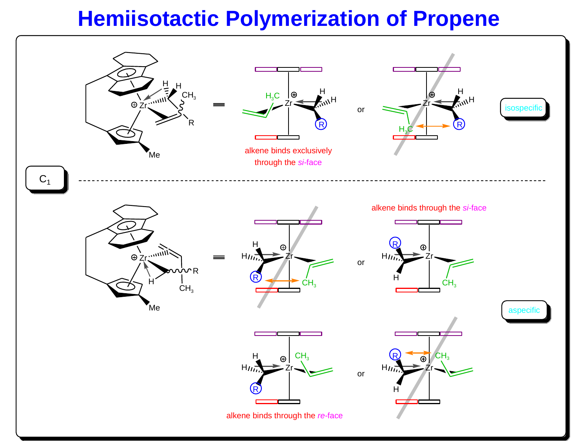## **Hemiisotactic Polymerization of Propene**

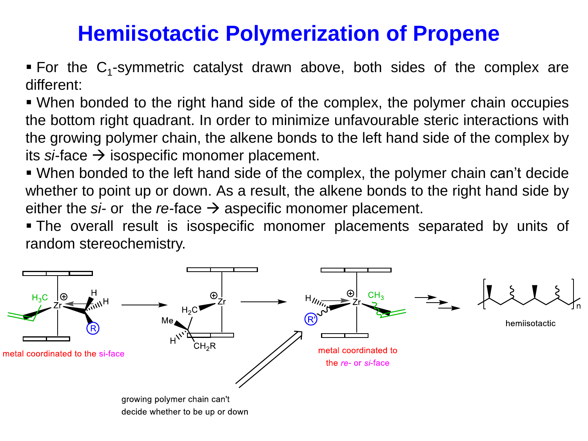## **Hemiisotactic Polymerization of Propene**

For the  $C_1$ -symmetric catalyst drawn above, both sides of the complex are different:

▪ When bonded to the right hand side of the complex, the polymer chain occupies the bottom right quadrant. In order to minimize unfavourable steric interactions with the growing polymer chain, the alkene bonds to the left hand side of the complex by its  $s$ *i*-face  $\rightarrow$  isospecific monomer placement.

▪ When bonded to the left hand side of the complex, the polymer chain can't decide whether to point up or down. As a result, the alkene bonds to the right hand side by either the  $si$ - or the *re*-face  $\rightarrow$  aspecific monomer placement.

▪ The overall result is isospecific monomer placements separated by units of random stereochemistry.

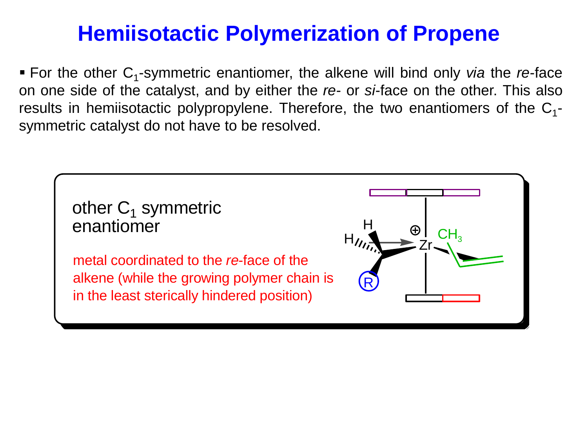## **Hemiisotactic Polymerization of Propene**

■ For the other C<sub>1</sub>-symmetric enantiomer, the alkene will bind only *via* the *re*-face on one side of the catalyst, and by either the *re*- or *si*-face on the other. This also results in hemiisotactic polypropylene. Therefore, the two enantiomers of the  $C_1$ symmetric catalyst do not have to be resolved.

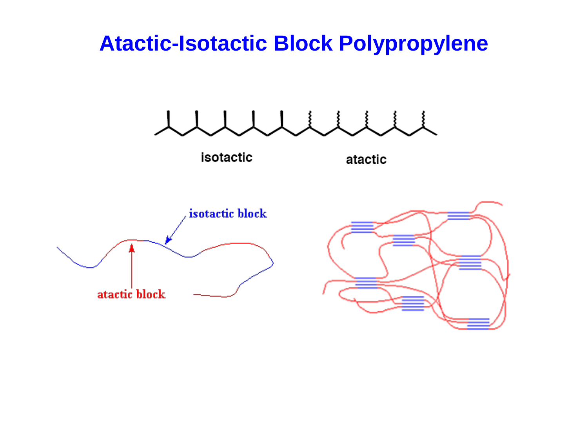#### **Atactic-Isotactic Block Polypropylene**

isotactic

atactic



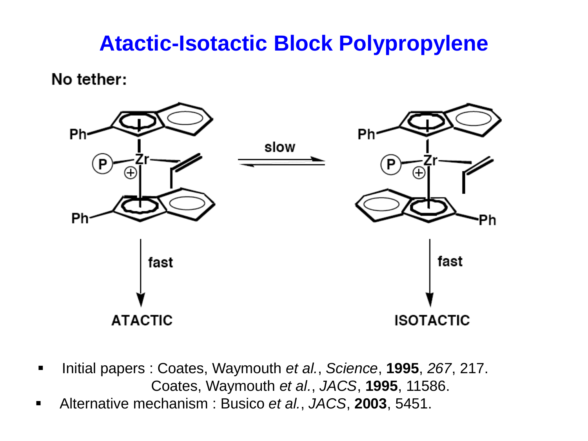## **Atactic-Isotactic Block Polypropylene**

No tether:



- Initial papers : Coates, Waymouth *et al.*, *Science*, **1995**, *267*, 217. Coates, Waymouth *et al.*, *JACS*, **1995**, 11586.
- Alternative mechanism : Busico *et al.*, *JACS*, **2003**, 5451.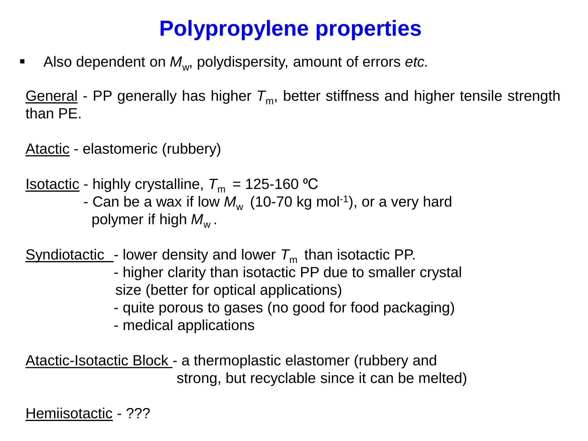# **Polypropylene properties**

■ Also dependent on  $M$ <sub>w</sub>, polydispersity, amount of errors *etc.* 

General - PP generally has higher  $T_m$ , better stiffness and higher tensile strength than PE.

Atactic - elastomeric (rubbery)

<u>Isotactic</u> - highly crystalline,  $T_m = 125$ -160 °C

- Can be a wax if low  $M_{\rm w}$  (10-70 kg mol<sup>-1</sup>), or a very hard polymer if high  $M_{\!{\sf w}}^{}$  .

Syndiotactic - lower density and lower  $T_m$  than isotactic PP.

- higher clarity than isotactic PP due to smaller crystal size (better for optical applications)
- quite porous to gases (no good for food packaging)
- medical applications

Atactic-Isotactic Block - a thermoplastic elastomer (rubbery and strong, but recyclable since it can be melted)

Hemiisotactic - ???